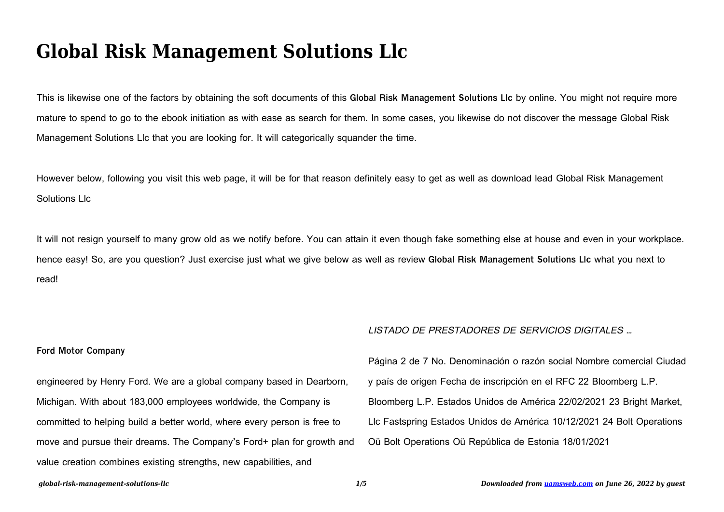# **Global Risk Management Solutions Llc**

This is likewise one of the factors by obtaining the soft documents of this **Global Risk Management Solutions Llc** by online. You might not require more mature to spend to go to the ebook initiation as with ease as search for them. In some cases, you likewise do not discover the message Global Risk Management Solutions Llc that you are looking for. It will categorically squander the time.

However below, following you visit this web page, it will be for that reason definitely easy to get as well as download lead Global Risk Management Solutions Llc

It will not resign yourself to many grow old as we notify before. You can attain it even though fake something else at house and even in your workplace. hence easy! So, are you question? Just exercise just what we give below as well as review **Global Risk Management Solutions Llc** what you next to read!

## **Ford Motor Company**

engineered by Henry Ford. We are a global company based in Dearborn, Michigan. With about 183,000 employees worldwide, the Company is committed to helping build a better world, where every person is free to move and pursue their dreams. The Company's Ford+ plan for growth and value creation combines existing strengths, new capabilities, and

## LISTADO DE PRESTADORES DE SERVICIOS DIGITALES …

| Página 2 de 7 No. Denominación o razón social Nombre comercial Ciudad  |
|------------------------------------------------------------------------|
| y país de origen Fecha de inscripción en el RFC 22 Bloomberg L.P.      |
| Bloomberg L.P. Estados Unidos de América 22/02/2021 23 Bright Market,  |
| Llc Fastspring Estados Unidos de América 10/12/2021 24 Bolt Operations |
| Oü Bolt Operations Oü República de Estonia 18/01/2021                  |
|                                                                        |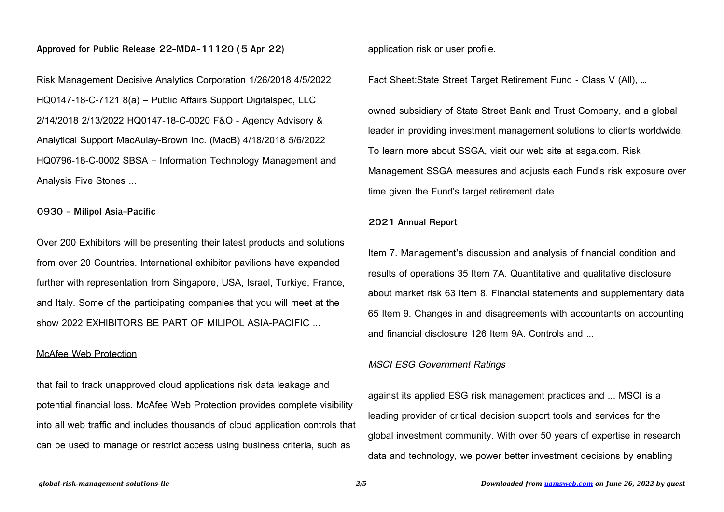## **Approved for Public Release 22-MDA-11120 (5 Apr 22)**

Risk Management Decisive Analytics Corporation 1/26/2018 4/5/2022 HQ0147-18-C-7121 8(a) – Public Affairs Support Digitalspec, LLC 2/14/2018 2/13/2022 HQ0147-18-C-0020 F&O - Agency Advisory & Analytical Support MacAulay-Brown Inc. (MacB) 4/18/2018 5/6/2022 HQ0796-18-C-0002 SBSA – Information Technology Management and Analysis Five Stones ...

## **0930 - Milipol Asia-Pacific**

Over 200 Exhibitors will be presenting their latest products and solutions from over 20 Countries. International exhibitor pavilions have expanded further with representation from Singapore, USA, Israel, Turkiye, France, and Italy. Some of the participating companies that you will meet at the show 2022 EXHIBITORS BE PART OF MILIPOL ASIA-PACIFIC ...

## McAfee Web Protection

that fail to track unapproved cloud applications risk data leakage and potential financial loss. McAfee Web Protection provides complete visibility into all web traffic and includes thousands of cloud application controls that can be used to manage or restrict access using business criteria, such as

application risk or user profile.

## Fact Sheet:State Street Target Retirement Fund - Class V (All), …

owned subsidiary of State Street Bank and Trust Company, and a global leader in providing investment management solutions to clients worldwide. To learn more about SSGA, visit our web site at ssga.com. Risk Management SSGA measures and adjusts each Fund's risk exposure over time given the Fund's target retirement date.

# **2021 Annual Report**

Item 7. Management's discussion and analysis of financial condition and results of operations 35 Item 7A. Quantitative and qualitative disclosure about market risk 63 Item 8. Financial statements and supplementary data 65 Item 9. Changes in and disagreements with accountants on accounting and financial disclosure 126 Item 9A. Controls and ...

## MSCI ESG Government Ratings

against its applied ESG risk management practices and ... MSCI is a leading provider of critical decision support tools and services for the global investment community. With over 50 years of expertise in research, data and technology, we power better investment decisions by enabling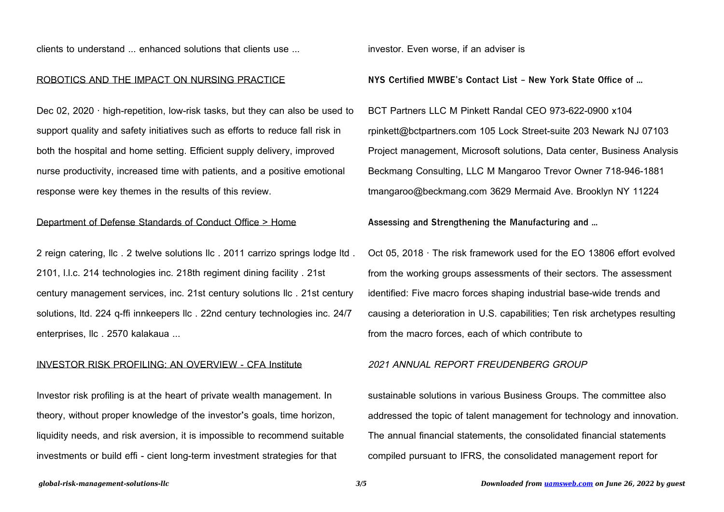clients to understand ... enhanced solutions that clients use ...

#### ROBOTICS AND THE IMPACT ON NURSING PRACTICE

Dec 02, 2020 · high-repetition, low-risk tasks, but they can also be used to support quality and safety initiatives such as efforts to reduce fall risk in both the hospital and home setting. Efficient supply delivery, improved nurse productivity, increased time with patients, and a positive emotional response were key themes in the results of this review.

# Department of Defense Standards of Conduct Office > Home

2 reign catering, llc . 2 twelve solutions llc . 2011 carrizo springs lodge ltd . 2101, l.l.c. 214 technologies inc. 218th regiment dining facility . 21st century management services, inc. 21st century solutions llc . 21st century solutions, ltd. 224 q-ffi innkeepers llc . 22nd century technologies inc. 24/7 enterprises, llc . 2570 kalakaua ...

#### INVESTOR RISK PROFILING: AN OVERVIEW - CFA Institute

Investor risk profiling is at the heart of private wealth management. In theory, without proper knowledge of the investor's goals, time horizon, liquidity needs, and risk aversion, it is impossible to recommend suitable investments or build effi - cient long-term investment strategies for that

investor. Even worse, if an adviser is

**NYS Certified MWBE's Contact List - New York State Office of ...**

BCT Partners LLC M Pinkett Randal CEO 973-622-0900 x104 rpinkett@bctpartners.com 105 Lock Street-suite 203 Newark NJ 07103 Project management, Microsoft solutions, Data center, Business Analysis Beckmang Consulting, LLC M Mangaroo Trevor Owner 718-946-1881 tmangaroo@beckmang.com 3629 Mermaid Ave. Brooklyn NY 11224

**Assessing and Strengthening the Manufacturing and …**

Oct 05, 2018 · The risk framework used for the EO 13806 effort evolved from the working groups assessments of their sectors. The assessment identified: Five macro forces shaping industrial base-wide trends and causing a deterioration in U.S. capabilities; Ten risk archetypes resulting from the macro forces, each of which contribute to

#### 2021 ANNUAL REPORT FREUDENBERG GROUP

sustainable solutions in various Business Groups. The committee also addressed the topic of talent management for technology and innovation. The annual financial statements, the consolidated financial statements compiled pursuant to IFRS, the consolidated management report for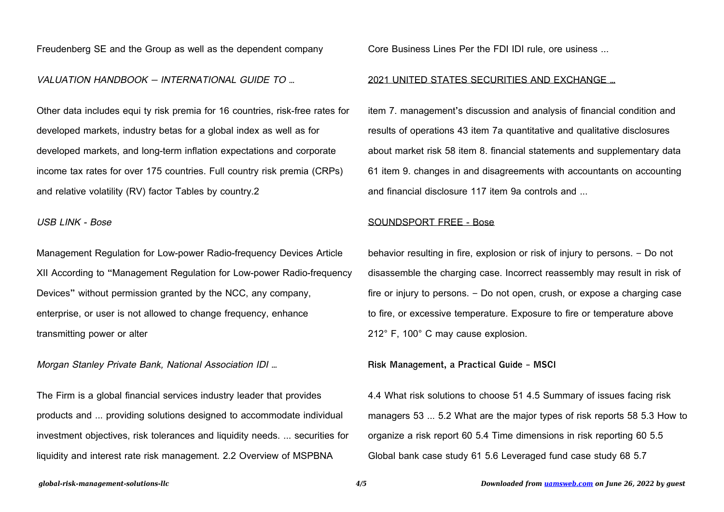Freudenberg SE and the Group as well as the dependent company

## VALUATION HANDBOOK — INTERNATIONAL GUIDE TO …

Other data includes equi ty risk premia for 16 countries, risk-free rates for developed markets, industry betas for a global index as well as for developed markets, and long-term inflation expectations and corporate income tax rates for over 175 countries. Full country risk premia (CRPs) and relative volatility (RV) factor Tables by country.2

## USB LINK - Bose

Management Regulation for Low-power Radio-frequency Devices Article XII According to "Management Regulation for Low-power Radio-frequency Devices" without permission granted by the NCC, any company, enterprise, or user is not allowed to change frequency, enhance transmitting power or alter

Morgan Stanley Private Bank, National Association IDI …

The Firm is a global financial services industry leader that provides products and ... providing solutions designed to accommodate individual investment objectives, risk tolerances and liquidity needs. ... securities for liquidity and interest rate risk management. 2.2 Overview of MSPBNA

Core Business Lines Per the FDI IDI rule, ore usiness ...

### 2021 UNITED STATES SECURITIES AND EXCHANGE …

item 7. management's discussion and analysis of financial condition and results of operations 43 item 7a quantitative and qualitative disclosures about market risk 58 item 8. financial statements and supplementary data 61 item 9. changes in and disagreements with accountants on accounting and financial disclosure 117 item 9a controls and ...

#### SOUNDSPORT FREE - Bose

behavior resulting in fire, explosion or risk of injury to persons. – Do not disassemble the charging case. Incorrect reassembly may result in risk of fire or injury to persons. – Do not open, crush, or expose a charging case to fire, or excessive temperature. Exposure to fire or temperature above 212° F, 100° C may cause explosion.

**Risk Management, a Practical Guide - MSCI**

4.4 What risk solutions to choose 51 4.5 Summary of issues facing risk managers 53 ... 5.2 What are the major types of risk reports 58 5.3 How to organize a risk report 60 5.4 Time dimensions in risk reporting 60 5.5 Global bank case study 61 5.6 Leveraged fund case study 68 5.7